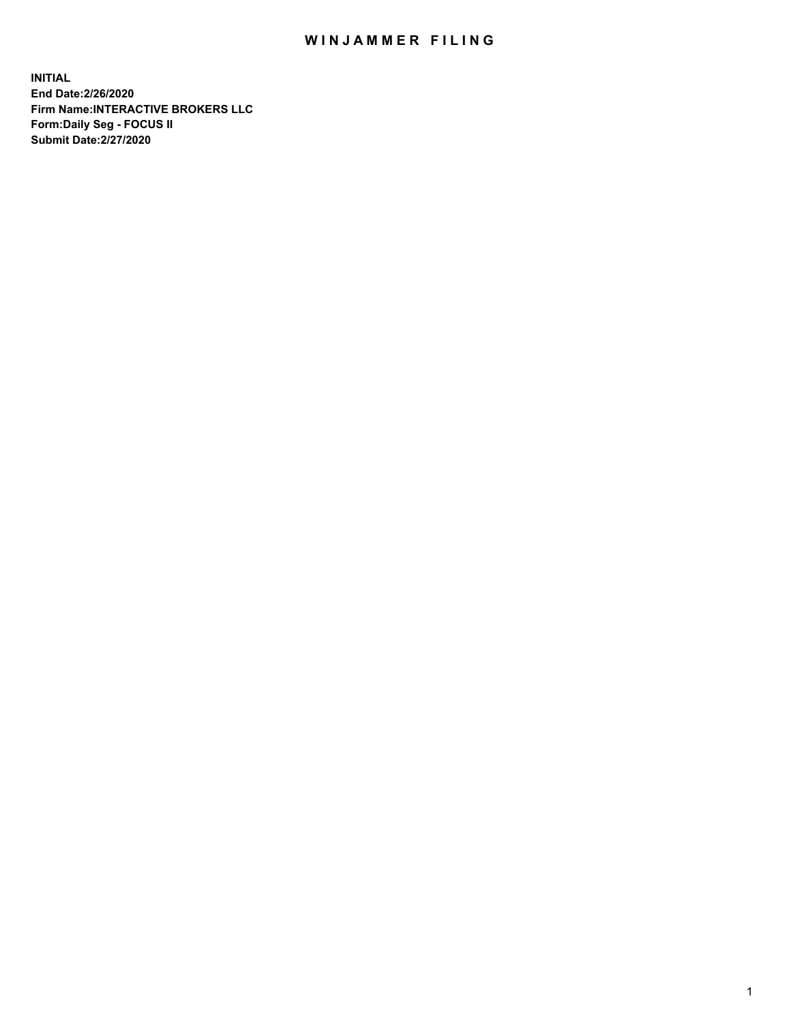## WIN JAMMER FILING

**INITIAL End Date:2/26/2020 Firm Name:INTERACTIVE BROKERS LLC Form:Daily Seg - FOCUS II Submit Date:2/27/2020**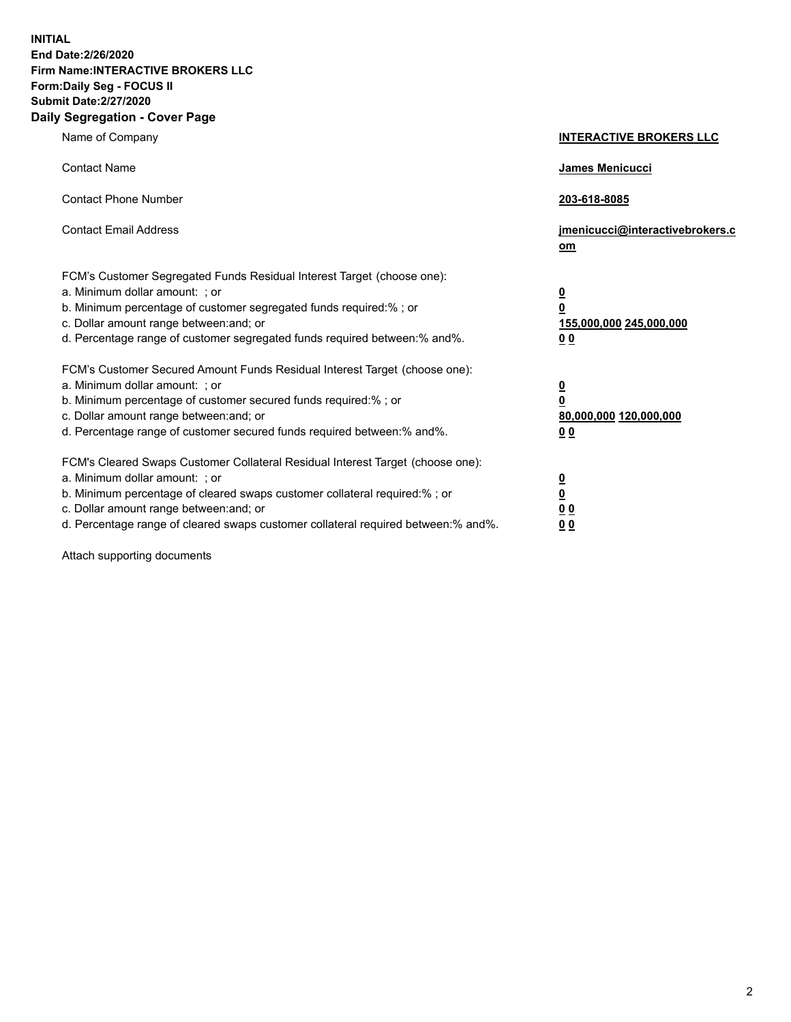**INITIAL End Date:2/26/2020 Firm Name:INTERACTIVE BROKERS LLC Form:Daily Seg - FOCUS II Submit Date:2/27/2020 Daily Segregation - Cover Page**

| Name of Company                                                                                                                                                                                                                                                                                                               | <b>INTERACTIVE BROKERS LLC</b>                                                                  |
|-------------------------------------------------------------------------------------------------------------------------------------------------------------------------------------------------------------------------------------------------------------------------------------------------------------------------------|-------------------------------------------------------------------------------------------------|
| <b>Contact Name</b>                                                                                                                                                                                                                                                                                                           | James Menicucci                                                                                 |
| <b>Contact Phone Number</b>                                                                                                                                                                                                                                                                                                   | 203-618-8085                                                                                    |
| <b>Contact Email Address</b>                                                                                                                                                                                                                                                                                                  | jmenicucci@interactivebrokers.c<br><u>om</u>                                                    |
| FCM's Customer Segregated Funds Residual Interest Target (choose one):<br>a. Minimum dollar amount: ; or<br>b. Minimum percentage of customer segregated funds required:% ; or<br>c. Dollar amount range between: and; or<br>d. Percentage range of customer segregated funds required between:% and%.                        | $\overline{\mathbf{0}}$<br>$\overline{\mathbf{0}}$<br>155,000,000 245,000,000<br>0 <sub>0</sub> |
| FCM's Customer Secured Amount Funds Residual Interest Target (choose one):<br>a. Minimum dollar amount: ; or<br>b. Minimum percentage of customer secured funds required:%; or<br>c. Dollar amount range between: and; or<br>d. Percentage range of customer secured funds required between:% and%.                           | $\overline{\mathbf{0}}$<br>$\overline{\mathbf{0}}$<br>80,000,000 120,000,000<br>0 <sub>0</sub>  |
| FCM's Cleared Swaps Customer Collateral Residual Interest Target (choose one):<br>a. Minimum dollar amount: ; or<br>b. Minimum percentage of cleared swaps customer collateral required:%; or<br>c. Dollar amount range between: and; or<br>d. Percentage range of cleared swaps customer collateral required between:% and%. | $\overline{\mathbf{0}}$<br>$\overline{\mathbf{0}}$<br>0 <sub>0</sub><br>0 <sub>0</sub>          |

Attach supporting documents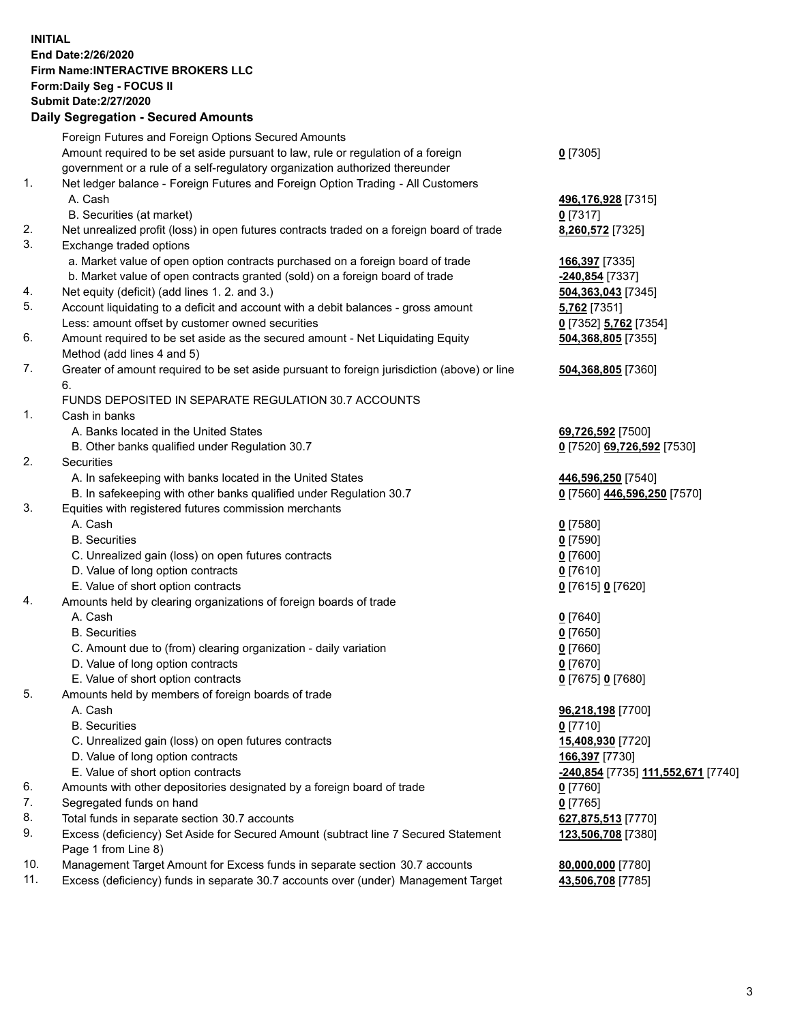**INITIAL End Date:2/26/2020 Firm Name:INTERACTIVE BROKERS LLC Form:Daily Seg - FOCUS II Submit Date:2/27/2020 Daily Segregation - Secured Amounts**

|                | 009.098.00. 0008.007.0008.00                                                                |                                             |
|----------------|---------------------------------------------------------------------------------------------|---------------------------------------------|
|                | Foreign Futures and Foreign Options Secured Amounts                                         |                                             |
|                | Amount required to be set aside pursuant to law, rule or regulation of a foreign            | $0$ [7305]                                  |
|                | government or a rule of a self-regulatory organization authorized thereunder                |                                             |
| 1.             | Net ledger balance - Foreign Futures and Foreign Option Trading - All Customers             |                                             |
|                | A. Cash                                                                                     | 496,176,928 [7315]                          |
|                | B. Securities (at market)                                                                   | $0$ [7317]                                  |
| 2.             | Net unrealized profit (loss) in open futures contracts traded on a foreign board of trade   | 8,260,572 [7325]                            |
| 3.             | Exchange traded options                                                                     |                                             |
|                | a. Market value of open option contracts purchased on a foreign board of trade              | 166,397 [7335]                              |
|                | b. Market value of open contracts granted (sold) on a foreign board of trade                | -240,854 [7337]                             |
| 4.             | Net equity (deficit) (add lines 1. 2. and 3.)                                               | 504,363,043 [7345]                          |
| 5.             | Account liquidating to a deficit and account with a debit balances - gross amount           | <b>5,762</b> [7351]                         |
|                | Less: amount offset by customer owned securities                                            | 0 <sup>[7352]</sup> 5,762 <sup>[7354]</sup> |
| 6.             | Amount required to be set aside as the secured amount - Net Liquidating Equity              | 504,368,805 [7355]                          |
|                | Method (add lines 4 and 5)                                                                  |                                             |
| 7.             | Greater of amount required to be set aside pursuant to foreign jurisdiction (above) or line | 504,368,805 [7360]                          |
|                | 6.                                                                                          |                                             |
|                | FUNDS DEPOSITED IN SEPARATE REGULATION 30.7 ACCOUNTS                                        |                                             |
| $\mathbf{1}$ . | Cash in banks                                                                               |                                             |
|                | A. Banks located in the United States                                                       | 69,726,592 [7500]                           |
| 2.             | B. Other banks qualified under Regulation 30.7<br>Securities                                | 0 [7520] 69,726,592 [7530]                  |
|                | A. In safekeeping with banks located in the United States                                   | 446,596,250 [7540]                          |
|                | B. In safekeeping with other banks qualified under Regulation 30.7                          | 0 [7560] 446,596,250 [7570]                 |
| 3.             | Equities with registered futures commission merchants                                       |                                             |
|                | A. Cash                                                                                     | $0$ [7580]                                  |
|                | <b>B.</b> Securities                                                                        | $0$ [7590]                                  |
|                | C. Unrealized gain (loss) on open futures contracts                                         | $0$ [7600]                                  |
|                | D. Value of long option contracts                                                           | $0$ [7610]                                  |
|                | E. Value of short option contracts                                                          | 0 [7615] 0 [7620]                           |
| 4.             | Amounts held by clearing organizations of foreign boards of trade                           |                                             |
|                | A. Cash                                                                                     | $0$ [7640]                                  |
|                | <b>B.</b> Securities                                                                        | $0$ [7650]                                  |
|                | C. Amount due to (from) clearing organization - daily variation                             | $0$ [7660]                                  |
|                | D. Value of long option contracts                                                           | $0$ [7670]                                  |
|                | E. Value of short option contracts                                                          | 0 [7675] 0 [7680]                           |
| 5.             | Amounts held by members of foreign boards of trade                                          |                                             |
|                | A. Cash                                                                                     | 96,218,198 [7700]                           |
|                | <b>B.</b> Securities                                                                        | $0$ [7710]                                  |
|                | C. Unrealized gain (loss) on open futures contracts                                         | 15,408,930 [7720]                           |
|                | D. Value of long option contracts                                                           | 166,397 [7730]                              |
|                | E. Value of short option contracts                                                          | -240,854 [7735] 111,552,671 [7740]          |
| 6.             | Amounts with other depositories designated by a foreign board of trade                      | 0 [7760]                                    |
| 7.             | Segregated funds on hand                                                                    | $0$ [7765]                                  |
| 8.             | Total funds in separate section 30.7 accounts                                               | 627,875,513 [7770]                          |
| 9.             | Excess (deficiency) Set Aside for Secured Amount (subtract line 7 Secured Statement         | 123,506,708 [7380]                          |
|                | Page 1 from Line 8)                                                                         |                                             |
| 10.            | Management Target Amount for Excess funds in separate section 30.7 accounts                 | 80,000,000 [7780]                           |
|                |                                                                                             | 43,506,708 [7785]                           |
| 11.            | Excess (deficiency) funds in separate 30.7 accounts over (under) Management Target          |                                             |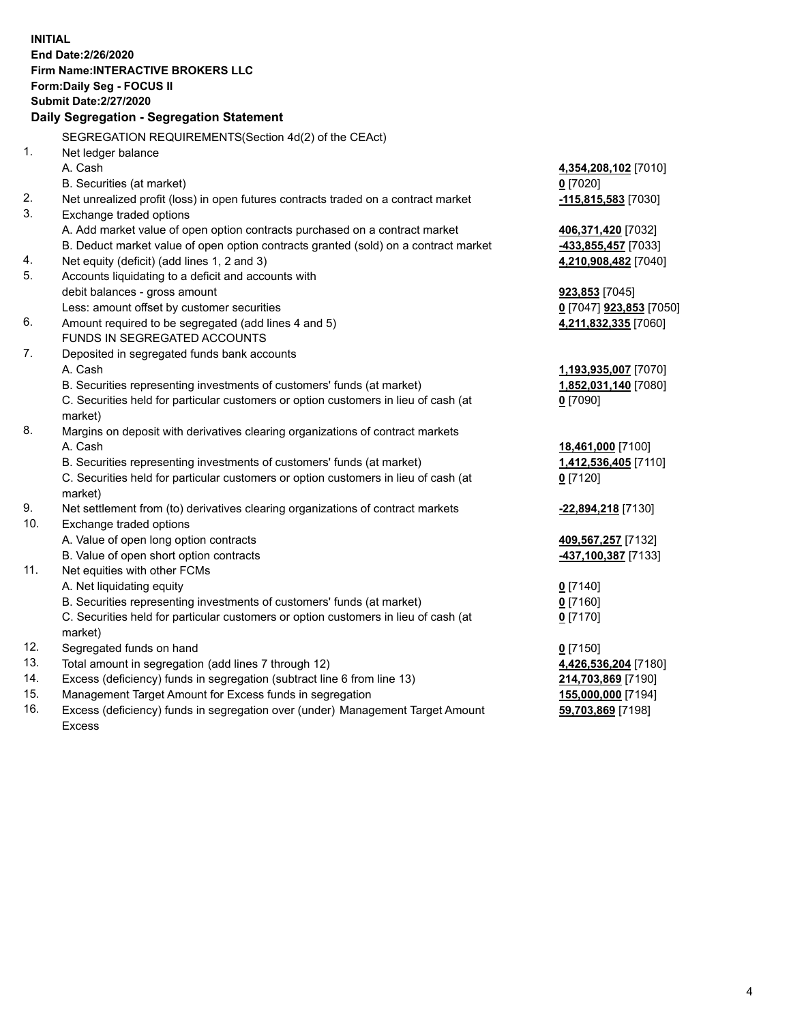**INITIAL End Date:2/26/2020 Firm Name:INTERACTIVE BROKERS LLC Form:Daily Seg - FOCUS II Submit Date:2/27/2020 Daily Segregation - Segregation Statement** SEGREGATION REQUIREMENTS(Section 4d(2) of the CEAct) 1. Net ledger balance A. Cash **4,354,208,102** [7010] B. Securities (at market) **0** [7020] 2. Net unrealized profit (loss) in open futures contracts traded on a contract market **-115,815,583** [7030] 3. Exchange traded options A. Add market value of open option contracts purchased on a contract market **406,371,420** [7032] B. Deduct market value of open option contracts granted (sold) on a contract market **-433,855,457** [7033] 4. Net equity (deficit) (add lines 1, 2 and 3) **4,210,908,482** [7040] 5. Accounts liquidating to a deficit and accounts with debit balances - gross amount **923,853** [7045] Less: amount offset by customer securities **0** [7047] **923,853** [7050] 6. Amount required to be segregated (add lines 4 and 5) **4,211,832,335** [7060] FUNDS IN SEGREGATED ACCOUNTS 7. Deposited in segregated funds bank accounts A. Cash **1,193,935,007** [7070] B. Securities representing investments of customers' funds (at market) **1,852,031,140** [7080] C. Securities held for particular customers or option customers in lieu of cash (at market) **0** [7090] 8. Margins on deposit with derivatives clearing organizations of contract markets A. Cash **18,461,000** [7100] B. Securities representing investments of customers' funds (at market) **1,412,536,405** [7110] C. Securities held for particular customers or option customers in lieu of cash (at market) **0** [7120] 9. Net settlement from (to) derivatives clearing organizations of contract markets **-22,894,218** [7130] 10. Exchange traded options A. Value of open long option contracts **409,567,257** [7132] B. Value of open short option contracts **-437,100,387** [7133] 11. Net equities with other FCMs A. Net liquidating equity **0** [7140] B. Securities representing investments of customers' funds (at market) **0** [7160] C. Securities held for particular customers or option customers in lieu of cash (at market) **0** [7170] 12. Segregated funds on hand **0** [7150] 13. Total amount in segregation (add lines 7 through 12) **4,426,536,204** [7180] 14. Excess (deficiency) funds in segregation (subtract line 6 from line 13) **214,703,869** [7190] 15. Management Target Amount for Excess funds in segregation **155,000,000** [7194] 16. Excess (deficiency) funds in segregation over (under) Management Target Amount **59,703,869** [7198]

Excess